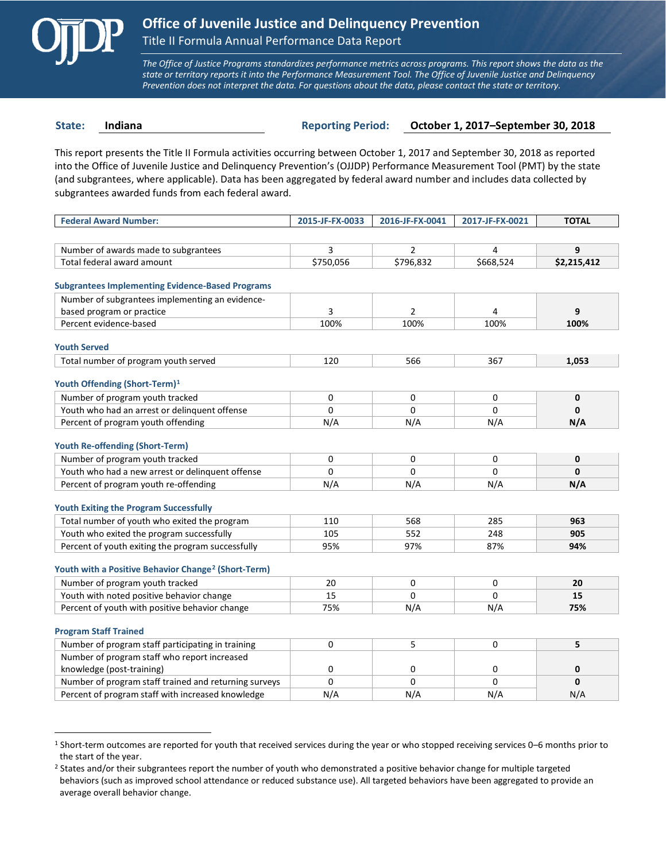

 $\overline{a}$ 

*The Office of Justice Programs standardizes performance metrics across programs. This report shows the data as the state or territory reports it into the Performance Measurement Tool. The Office of Juvenile Justice and Delinquency Prevention does not interpret the data. For questions about the data, please contact the state or territory.*

**State: Indiana Reporting Period: October 1, 2017–September 30, 2018**

This report presents the Title II Formula activities occurring between October 1, 2017 and September 30, 2018 as reported into the Office of Juvenile Justice and Delinquency Prevention's (OJJDP) Performance Measurement Tool (PMT) by the state (and subgrantees, where applicable). Data has been aggregated by federal award number and includes data collected by subgrantees awarded funds from each federal award.

| <b>Federal Award Number:</b>                                    | 2015-JF-FX-0033 | 2016-JF-FX-0041 | 2017-JF-FX-0021 | <b>TOTAL</b> |
|-----------------------------------------------------------------|-----------------|-----------------|-----------------|--------------|
|                                                                 |                 |                 |                 |              |
| Number of awards made to subgrantees                            | $\overline{3}$  | $\overline{2}$  | 4               | 9            |
| Total federal award amount                                      | \$750,056       | \$796,832       | \$668,524       | \$2,215,412  |
|                                                                 |                 |                 |                 |              |
| <b>Subgrantees Implementing Evidence-Based Programs</b>         |                 |                 |                 |              |
| Number of subgrantees implementing an evidence-                 |                 |                 |                 |              |
| based program or practice                                       | 3               | $\overline{2}$  | 4               | 9            |
| Percent evidence-based                                          | 100%            | 100%            | 100%            | 100%         |
| <b>Youth Served</b>                                             |                 |                 |                 |              |
| Total number of program youth served                            | 120             | 566             | 367             | 1.053        |
|                                                                 |                 |                 |                 |              |
| Youth Offending (Short-Term) <sup>1</sup>                       |                 |                 |                 |              |
| Number of program youth tracked                                 | 0               | 0               | 0               | $\mathbf 0$  |
| Youth who had an arrest or delinquent offense                   | $\Omega$        | 0               | $\Omega$        | $\mathbf{0}$ |
| Percent of program youth offending                              | N/A             | N/A             | N/A             | N/A          |
|                                                                 |                 |                 |                 |              |
| <b>Youth Re-offending (Short-Term)</b>                          |                 |                 |                 |              |
| Number of program youth tracked                                 | 0               | 0               | 0               | 0            |
| Youth who had a new arrest or delinguent offense                | $\Omega$        | $\Omega$        | 0               | $\mathbf{0}$ |
| Percent of program youth re-offending                           | N/A             | N/A             | N/A             | N/A          |
| <b>Youth Exiting the Program Successfully</b>                   |                 |                 |                 |              |
| Total number of youth who exited the program                    | 110             | 568             | 285             | 963          |
| Youth who exited the program successfully                       | 105             | 552             | 248             | 905          |
| Percent of youth exiting the program successfully               | 95%             | 97%             | 87%             | 94%          |
|                                                                 |                 |                 |                 |              |
| Youth with a Positive Behavior Change <sup>2</sup> (Short-Term) |                 |                 |                 |              |
| Number of program youth tracked                                 | 20              | 0               | 0               | 20           |
| Youth with noted positive behavior change                       | 15              | $\Omega$        | $\Omega$        | 15           |
| Percent of youth with positive behavior change                  | 75%             | N/A             | N/A             | 75%          |
|                                                                 |                 |                 |                 |              |
| <b>Program Staff Trained</b>                                    |                 |                 |                 |              |
| Number of program staff participating in training               | $\mathbf 0$     | 5               | 0               | 5            |
| Number of program staff who report increased                    |                 |                 |                 |              |
| knowledge (post-training)                                       | 0               | 0               | 0               | 0            |
| Number of program staff trained and returning surveys           | $\Omega$        | $\Omega$        | 0               | $\mathbf{0}$ |
| Percent of program staff with increased knowledge               | N/A             | N/A             | N/A             | N/A          |

<span id="page-0-0"></span><sup>1</sup> Short-term outcomes are reported for youth that received services during the year or who stopped receiving services 0–6 months prior to the start of the year.

<span id="page-0-1"></span><sup>&</sup>lt;sup>2</sup> States and/or their subgrantees report the number of youth who demonstrated a positive behavior change for multiple targeted behaviors (such as improved school attendance or reduced substance use). All targeted behaviors have been aggregated to provide an average overall behavior change.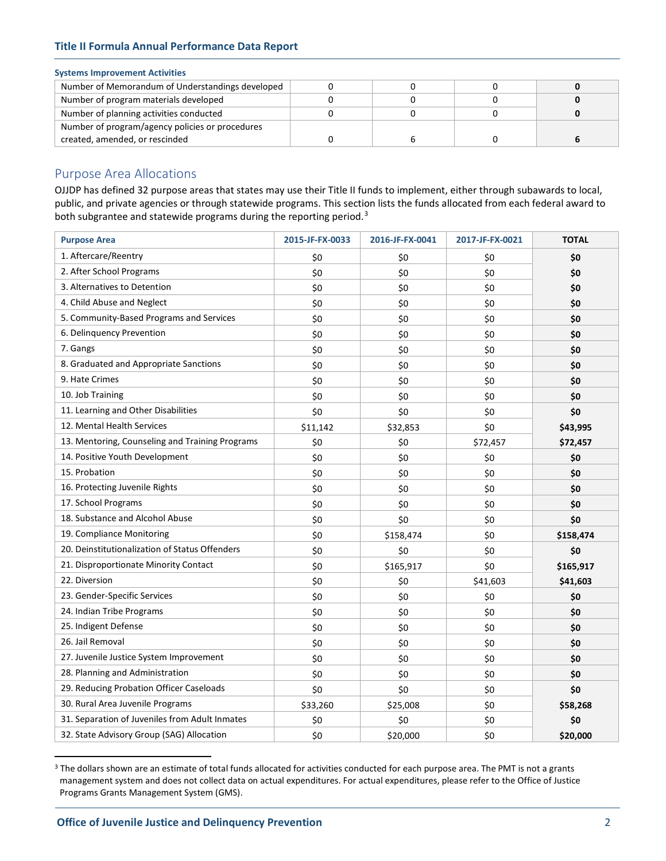# **Title II Formula Annual Performance Data Report**

# **Systems Improvement Activities**

| Number of Memorandum of Understandings developed |  |  |
|--------------------------------------------------|--|--|
| Number of program materials developed            |  |  |
| Number of planning activities conducted          |  |  |
| Number of program/agency policies or procedures  |  |  |
| created, amended, or rescinded                   |  |  |

# Purpose Area Allocations

OJJDP has defined 32 purpose areas that states may use their Title II funds to implement, either through subawards to local, public, and private agencies or through statewide programs. This section lists the funds allocated from each federal award to both subgrantee and statewide programs during the reporting period.<sup>[3](#page-1-0)</sup>

| <b>Purpose Area</b>                             | 2015-JF-FX-0033 | 2016-JF-FX-0041 | 2017-JF-FX-0021 | <b>TOTAL</b> |
|-------------------------------------------------|-----------------|-----------------|-----------------|--------------|
| 1. Aftercare/Reentry                            | \$0             | \$0             | \$0             | \$0          |
| 2. After School Programs                        | \$0             | \$0             | \$0             | \$0          |
| 3. Alternatives to Detention                    | \$0             | \$0             | \$0             | \$0          |
| 4. Child Abuse and Neglect                      | \$0             | \$0             | \$0             | \$0          |
| 5. Community-Based Programs and Services        | \$0             | \$0             | \$0             | \$0          |
| 6. Delinquency Prevention                       | \$0             | \$0             | \$0             | \$0          |
| 7. Gangs                                        | \$0             | \$0             | \$0             | \$0          |
| 8. Graduated and Appropriate Sanctions          | \$0             | \$0             | \$0             | \$0          |
| 9. Hate Crimes                                  | \$0             | \$0             | \$0             | \$0          |
| 10. Job Training                                | \$0             | \$0             | \$0             | \$0          |
| 11. Learning and Other Disabilities             | \$0             | \$0             | \$0             | \$0          |
| 12. Mental Health Services                      | \$11,142        | \$32,853        | \$0             | \$43,995     |
| 13. Mentoring, Counseling and Training Programs | \$0             | \$0             | \$72,457        | \$72,457     |
| 14. Positive Youth Development                  | \$0             | \$0             | \$0             | \$0          |
| 15. Probation                                   | \$0             | \$0             | \$0             | \$0          |
| 16. Protecting Juvenile Rights                  | \$0             | \$0             | \$0             | \$0          |
| 17. School Programs                             | \$0             | \$0             | \$0             | \$0          |
| 18. Substance and Alcohol Abuse                 | \$0             | \$0             | \$0             | \$0          |
| 19. Compliance Monitoring                       | \$0             | \$158,474       | \$0             | \$158,474    |
| 20. Deinstitutionalization of Status Offenders  | \$0             | \$0             | \$0             | \$0          |
| 21. Disproportionate Minority Contact           | \$0             | \$165,917       | \$0             | \$165,917    |
| 22. Diversion                                   | \$0             | \$0             | \$41,603        | \$41,603     |
| 23. Gender-Specific Services                    | \$0             | \$0             | \$0             | \$0          |
| 24. Indian Tribe Programs                       | \$0             | \$0             | \$0             | \$0          |
| 25. Indigent Defense                            | \$0             | \$0             | \$0             | \$0          |
| 26. Jail Removal                                | \$0             | \$0             | \$0             | \$0          |
| 27. Juvenile Justice System Improvement         | \$0             | \$0             | \$0             | \$0          |
| 28. Planning and Administration                 | \$0             | \$0             | \$0             | \$0          |
| 29. Reducing Probation Officer Caseloads        | \$0             | \$0             | \$0             | \$0          |
| 30. Rural Area Juvenile Programs                | \$33,260        | \$25,008        | \$0             | \$58,268     |
| 31. Separation of Juveniles from Adult Inmates  | \$0             | \$0             | \$0             | \$0          |
| 32. State Advisory Group (SAG) Allocation       | \$0             | \$20,000        | \$0             | \$20,000     |

<span id="page-1-0"></span><sup>&</sup>lt;sup>3</sup> The dollars shown are an estimate of total funds allocated for activities conducted for each purpose area. The PMT is not a grants management system and does not collect data on actual expenditures. For actual expenditures, please refer to the Office of Justice Programs Grants Management System (GMS).

 $\overline{a}$